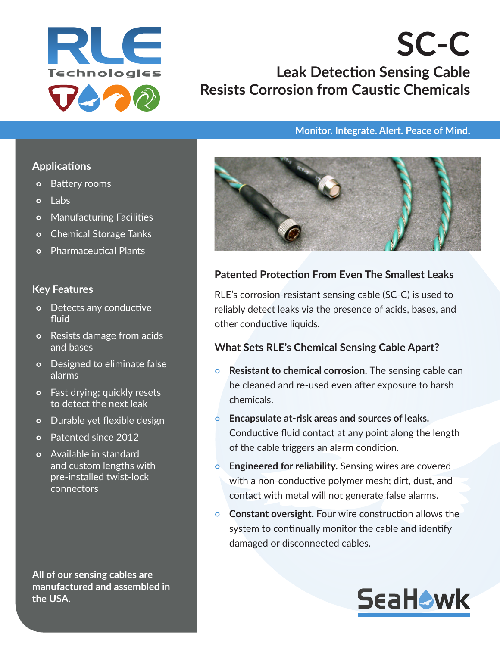

# **SC-C Leak Detection Sensing Cable Resists Corrosion from Caustic Chemicals**

#### **Monitor. Integrate. Alert. Peace of Mind.**

#### **Applications**

- Battery rooms
- o Labs
- Manufacturing Facilities
- o Chemical Storage Tanks
- Pharmaceutical Plants

#### **Key Features**

- Detects any conductive fluid
- Resists damage from acids and bases
- Designed to eliminate false alarms
- Fast drying; quickly resets to detect the next leak
- o Durable yet flexible design
- Patented since 2012
- Available in standard and custom lengths with pre-installed twist-lock connectors

**All of our sensing cables are manufactured and assembled in the USA.**



### **Patented Protection From Even The Smallest Leaks**

RLE's corrosion-resistant sensing cable (SC-C) is used to reliably detect leaks via the presence of acids, bases, and other conductive liquids.

#### **What Sets RLE's Chemical Sensing Cable Apart?**

- **Resistant to chemical corrosion.** The sensing cable can be cleaned and re-used even after exposure to harsh chemicals.
- **Encapsulate at-risk areas and sources of leaks.** Conductive fluid contact at any point along the length of the cable triggers an alarm condition.
- **Engineered for reliability.** Sensing wires are covered with a non-conductive polymer mesh; dirt, dust, and contact with metal will not generate false alarms.
- **Constant oversight.** Four wire construction allows the system to continually monitor the cable and identify damaged or disconnected cables.